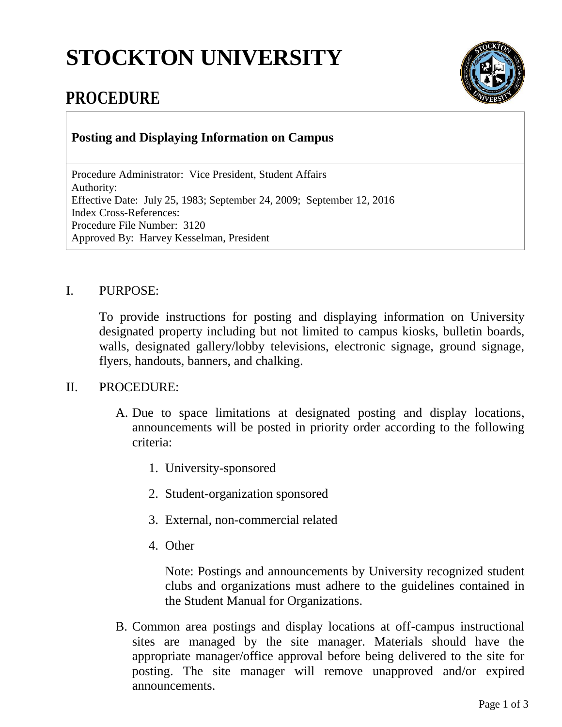## **STOCKTON UNIVERSITY**



## **PROCEDURE**

**Posting and Displaying Information on Campus**

Procedure Administrator: Vice President, Student Affairs Authority: Effective Date: July 25, 1983; September 24, 2009; September 12, 2016 Index Cross-References: Procedure File Number: 3120 Approved By: Harvey Kesselman, President

## I. PURPOSE:

To provide instructions for posting and displaying information on University designated property including but not limited to campus kiosks, bulletin boards, walls, designated gallery/lobby televisions, electronic signage, ground signage, flyers, handouts, banners, and chalking.

## II. PROCEDURE:

- A. Due to space limitations at designated posting and display locations, announcements will be posted in priority order according to the following criteria:
	- 1. University-sponsored
	- 2. Student-organization sponsored
	- 3. External, non-commercial related
	- 4. Other

Note: Postings and announcements by University recognized student clubs and organizations must adhere to the guidelines contained in the Student Manual for Organizations.

B. Common area postings and display locations at off-campus instructional sites are managed by the site manager. Materials should have the appropriate manager/office approval before being delivered to the site for posting. The site manager will remove unapproved and/or expired announcements.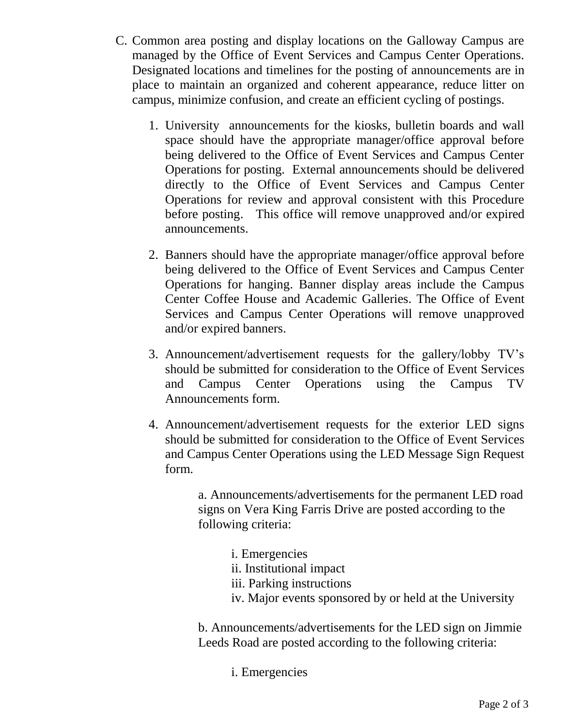- C. Common area posting and display locations on the Galloway Campus are managed by the Office of Event Services and Campus Center Operations. Designated locations and timelines for the posting of announcements are in place to maintain an organized and coherent appearance, reduce litter on campus, minimize confusion, and create an efficient cycling of postings.
	- 1. University announcements for the kiosks, bulletin boards and wall space should have the appropriate manager/office approval before being delivered to the Office of Event Services and Campus Center Operations for posting. External announcements should be delivered directly to the Office of Event Services and Campus Center Operations for review and approval consistent with this Procedure before posting. This office will remove unapproved and/or expired announcements.
	- 2. Banners should have the appropriate manager/office approval before being delivered to the Office of Event Services and Campus Center Operations for hanging. Banner display areas include the Campus Center Coffee House and Academic Galleries. The Office of Event Services and Campus Center Operations will remove unapproved and/or expired banners.
	- 3. Announcement/advertisement requests for the gallery/lobby TV's should be submitted for consideration to the Office of Event Services and Campus Center Operations using the Campus TV Announcements form.
	- 4. Announcement/advertisement requests for the exterior LED signs should be submitted for consideration to the Office of Event Services and Campus Center Operations using the LED Message Sign Request form.

a. Announcements/advertisements for the permanent LED road signs on Vera King Farris Drive are posted according to the following criteria:

- i. Emergencies
- ii. Institutional impact
- iii. Parking instructions
- iv. Major events sponsored by or held at the University

b. Announcements/advertisements for the LED sign on Jimmie Leeds Road are posted according to the following criteria:

i. Emergencies